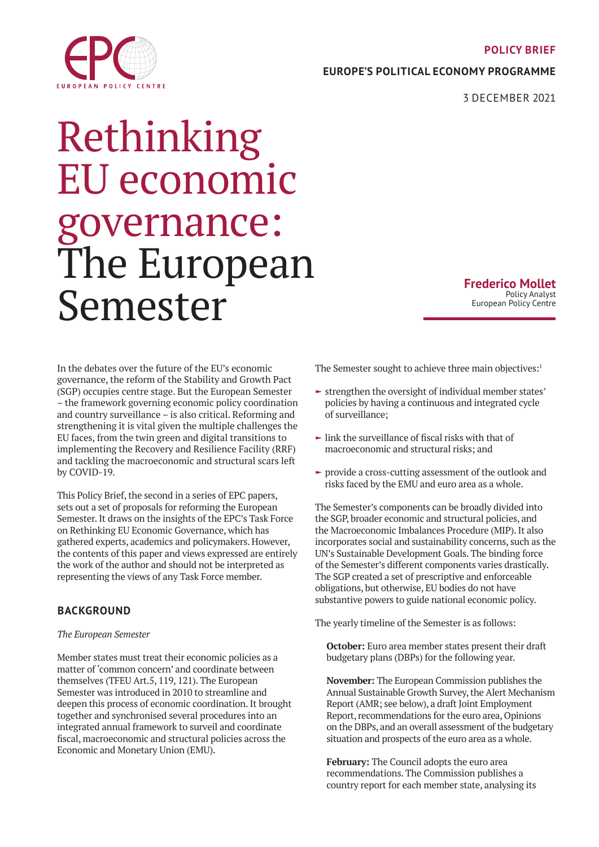### **POLICY BRIEF**

**EUROPE'S POLITICAL ECONOMY PROGRAMME**

3 DECEMBER 2021

# <span id="page-0-0"></span>EUROPEAN POLICY CENTRE

# Rethinking EU economic governance: The European Semester

**Frederico Mollet** Policy Analyst European Policy Centre

In the debates over the future of the EU's economic governance, the reform of the Stability and Growth Pact (SGP) occupies centre stage. But the European Semester – the framework governing economic policy coordination and country surveillance – is also critical. Reforming and strengthening it is vital given the multiple challenges the EU faces, from the twin green and digital transitions to implementing the Recovery and Resilience Facility (RRF) and tackling the macroeconomic and structural scars left by COVID-19.

This Policy Brief, the second in a series of EPC papers, sets out a set of proposals for reforming the European Semester. It draws on the insights of the EPC's Task Force on Rethinking EU Economic Governance, which has gathered experts, academics and policymakers. However, the contents of this paper and views expressed are entirely the work of the author and should not be interpreted as representing the views of any Task Force member.

# **BACKGROUND**

# *The European Semester*

Member states must treat their economic policies as a matter of 'common concern' and coordinate between themselves (TFEU Art.5, 119, 121). The European Semester was introduced in 2010 to streamline and deepen this process of economic coordination. It brought together and synchronised several procedures into an integrated annual framework to surveil and coordinate fiscal, macroeconomic and structural policies across the Economic and Monetary Union (EMU).

The Semester sought to achieve three main objectives:<sup>1</sup>

- $\blacktriangleright$  strengthen the oversight of individual member states' policies by having a continuous and integrated cycle of surveillance;
- $\blacktriangleright$  link the surveillance of fiscal risks with that of macroeconomic and structural risks; and
- $\rightarrow$  provide a cross-cutting assessment of the outlook and risks faced by the EMU and euro area as a whole.

The Semester's components can be broadly divided into the SGP, broader economic and structural policies, and the Macroeconomic Imbalances Procedure (MIP). It also incorporates social and sustainability concerns, such as the UN's Sustainable Development Goals. The binding force of the Semester's different components varies drastically. The SGP created a set of prescriptive and enforceable obligations, but otherwise, EU bodies do not have substantive powers to guide national economic policy.

The yearly timeline of the Semester is as follows:

**October:** Euro area member states present their draft budgetary plans (DBPs) for the following year.

**November:** The European Commission publishes the Annual Sustainable Growth Survey, the Alert Mechanism Report (AMR; see below), a draft Joint Employment Report, recommendations for the euro area, Opinions on the DBPs, and an overall assessment of the budgetary situation and prospects of the euro area as a whole.

**February:** The Council adopts the euro area recommendations. The Commission publishes a country report for each member state, analysing its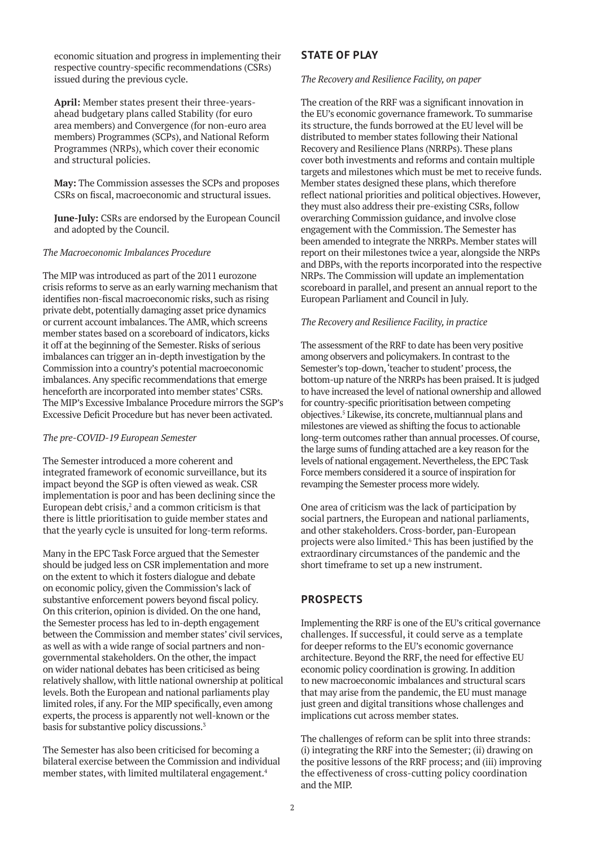economic situation and progress in implementing their respective country-specific recommendations (CSRs) issued during the previous cycle.

**April:** Member states present their three-yearsahead budgetary plans called Stability (for euro area members) and Convergence (for non-euro area members) Programmes (SCPs), and National Reform Programmes (NRPs), which cover their economic and structural policies.

**May:** The Commission assesses the SCPs and proposes CSRs on fiscal, macroeconomic and structural issues.

**June-July:** CSRs are endorsed by the European Council and adopted by the Council.

#### *The Macroeconomic Imbalances Procedure*

The MIP was introduced as part of the 2011 eurozone crisis reforms to serve as an early warning mechanism that identifies non-fiscal macroeconomic risks, such as rising private debt, potentially damaging asset price dynamics or current account imbalances. The AMR, which screens member states based on a scoreboard of indicators, kicks it off at the beginning of the Semester. Risks of serious imbalances can trigger an in-depth investigation by the Commission into a country's potential macroeconomic imbalances. Any specific recommendations that emerge henceforth are incorporated into member states' CSRs. The MIP's Excessive Imbalance Procedure mirrors the SGP's Excessive Deficit Procedure but has never been activated.

#### *The pre-COVID-19 European Semester*

The Semester introduced a more coherent and integrated framework of economic surveillance, but its impact beyond the SGP is often viewed as weak. CSR implementation is poor and has been declining since the European debt crisis, $2$  and a common criticism is that there is little prioritisation to guide member states and that the yearly cycle is unsuited for long-term reforms.

Many in the EPC Task Force argued that the Semester should be judged less on CSR implementation and more on the extent to which it fosters dialogue and debate on economic policy, given the Commission's lack of substantive enforcement powers beyond fiscal policy. On this criterion, opinion is divided. On the one hand, the Semester process has led to in-depth engagement between the Commission and member states' civil services, as well as with a wide range of social partners and nongovernmental stakeholders. On the other, the impact on wider national debates has been criticised as being relatively shallow, with little national ownership at political levels. Both the European and national parliaments play limited roles, if any. For the MIP specifically, even among experts, the process is apparently not well-known or the basis for substantive policy discussions.3

The Semester has also been criticised for becoming a bilateral exercise between the Commission and individual member states, with limited multilateral engagement.<sup>4</sup>

# **STATE OF PLAY**

#### *The Recovery and Resilience Facility, on paper*

The creation of the RRF was a significant innovation in the EU's economic governance framework. To summarise its structure, the funds borrowed at the EU level will be distributed to member states following their National Recovery and Resilience Plans (NRRPs). These plans cover both investments and reforms and contain multiple targets and milestones which must be met to receive funds. Member states designed these plans, which therefore reflect national priorities and political objectives. However, they must also address their pre-existing CSRs, follow overarching Commission guidance, and involve close engagement with the Commission. The Semester has been amended to integrate the NRRPs. Member states will report on their milestones twice a year, alongside the NRPs and DBPs, with the reports incorporated into the respective NRPs. The Commission will update an implementation scoreboard in parallel, and present an annual report to the European Parliament and Council in July.

#### *The Recovery and Resilience Facility, in practice*

The assessment of the RRF to date has been very positive among observers and policymakers. In contrast to the Semester's top-down, 'teacher to student' process, the bottom-up nature of the NRRPs has been praised. It is judged to have increased the level of national ownership and allowed for country-specific prioritisation between competing objectives.5 Likewise, its concrete, multiannual plans and milestones are viewed as shifting the focus to actionable long-term outcomes rather than annual processes. Of course, the large sums of funding attached are a key reason for the levels of national engagement. Nevertheless, the EPC Task Force members considered it a source of inspiration for revamping the Semester process more widely.

One area of criticism was the lack of participation by social partners, the European and national parliaments, and other stakeholders. Cross-border, pan-European projects were also limited.<sup>6</sup> This has been justified by the extraordinary circumstances of the pandemic and the short timeframe to set up a new instrument.

# **PROSPECTS**

Implementing the RRF is one of the EU's critical governance challenges. If successful, it could serve as a template for deeper reforms to the EU's economic governance architecture. Beyond the RRF, the need for effective EU economic policy coordination is growing. In addition to new macroeconomic imbalances and structural scars that may arise from the pandemic, the EU must manage just green and digital transitions whose challenges and implications cut across member states.

The challenges of reform can be split into three strands: (i) integrating the RRF into the Semester; (ii) drawing on the positive lessons of the RRF process; and (iii) improving the effectiveness of cross-cutting policy coordination and the MIP.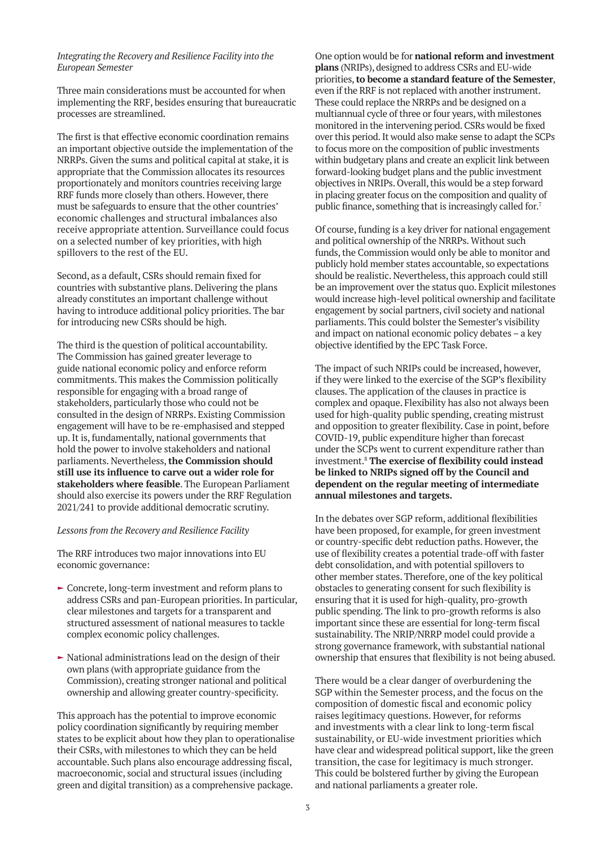#### *Integrating the Recovery and Resilience Facility into the European Semester*

Three main considerations must be accounted for when implementing the RRF, besides ensuring that bureaucratic processes are streamlined.

The first is that effective economic coordination remains an important objective outside the implementation of the NRRPs. Given the sums and political capital at stake, it is appropriate that the Commission allocates its resources proportionately and monitors countries receiving large RRF funds more closely than others. However, there must be safeguards to ensure that the other countries' economic challenges and structural imbalances also receive appropriate attention. Surveillance could focus on a selected number of key priorities, with high spillovers to the rest of the EU.

Second, as a default, CSRs should remain fixed for countries with substantive plans. Delivering the plans already constitutes an important challenge without having to introduce additional policy priorities. The bar for introducing new CSRs should be high.

The third is the question of political accountability. The Commission has gained greater leverage to guide national economic policy and enforce reform commitments. This makes the Commission politically responsible for engaging with a broad range of stakeholders, particularly those who could not be consulted in the design of NRRPs. Existing Commission engagement will have to be re-emphasised and stepped up. It is, fundamentally, national governments that hold the power to involve stakeholders and national parliaments. Nevertheless, **the Commission should still use its influence to carve out a wider role for stakeholders where feasible**. The European Parliament should also exercise its powers under the RRF Regulation 2021/241 to provide additional democratic scrutiny.

#### *Lessons from the Recovery and Resilience Facility*

The RRF introduces two major innovations into EU economic governance:

- $\blacktriangleright$  Concrete, long-term investment and reform plans to address CSRs and pan-European priorities. In particular, clear milestones and targets for a transparent and structured assessment of national measures to tackle complex economic policy challenges.
- $\blacktriangleright$  National administrations lead on the design of their own plans (with appropriate guidance from the Commission), creating stronger national and political ownership and allowing greater country-specificity.

This approach has the potential to improve economic policy coordination significantly by requiring member states to be explicit about how they plan to operationalise their CSRs, with milestones to which they can be held accountable. Such plans also encourage addressing fiscal, macroeconomic, social and structural issues (including green and digital transition) as a comprehensive package.

One option would be for **national reform and investment plans** (NRIPs), designed to address CSRs and EU-wide priorities, **to become a standard feature of the Semester**, even if the RRF is not replaced with another instrument. These could replace the NRRPs and be designed on a multiannual cycle of three or four years, with milestones monitored in the intervening period. CSRs would be fixed over this period. It would also make sense to adapt the SCPs to focus more on the composition of public investments within budgetary plans and create an explicit link between forward-looking budget plans and the public investment objectives in NRIPs. Overall, this would be a step forward in placing greater focus on the composition and quality of public finance, something that is increasingly called for.<sup>7</sup>

Of course, funding is a key driver for national engagement and political ownership of the NRRPs. Without such funds, the Commission would only be able to monitor and publicly hold member states accountable, so expectations should be realistic. Nevertheless, this approach could still be an improvement over the status quo. Explicit milestones would increase high-level political ownership and facilitate engagement by social partners, civil society and national parliaments. This could bolster the Semester's visibility and impact on national economic policy debates – a key objective identified by the EPC Task Force.

The impact of such NRIPs could be increased, however, if they were linked to the exercise of the SGP's flexibility clauses. The application of the clauses in practice is complex and opaque. Flexibility has also not always been used for high-quality public spending, creating mistrust and opposition to greater flexibility. Case in point, before COVID-19, public expenditure higher than forecast under the SCPs went to current expenditure rather than investment.8 **The exercise of flexibility could instead be linked to NRIPs signed off by the Council and dependent on the regular meeting of intermediate annual milestones and targets.** 

In the debates over SGP reform, additional flexibilities have been proposed, for example, for green investment or country-specific debt reduction paths. However, the use of flexibility creates a potential trade-off with faster debt consolidation, and with potential spillovers to other member states. Therefore, one of the key political obstacles to generating consent for such flexibility is ensuring that it is used for high-quality, pro-growth public spending. The link to pro-growth reforms is also important since these are essential for long-term fiscal sustainability. The NRIP/NRRP model could provide a strong governance framework, with substantial national ownership that ensures that flexibility is not being abused.

There would be a clear danger of overburdening the SGP within the Semester process, and the focus on the composition of domestic fiscal and economic policy raises legitimacy questions. However, for reforms and investments with a clear link to long-term fiscal sustainability, or EU-wide investment priorities which have clear and widespread political support, like the green transition, the case for legitimacy is much stronger. This could be bolstered further by giving the European and national parliaments a greater role.